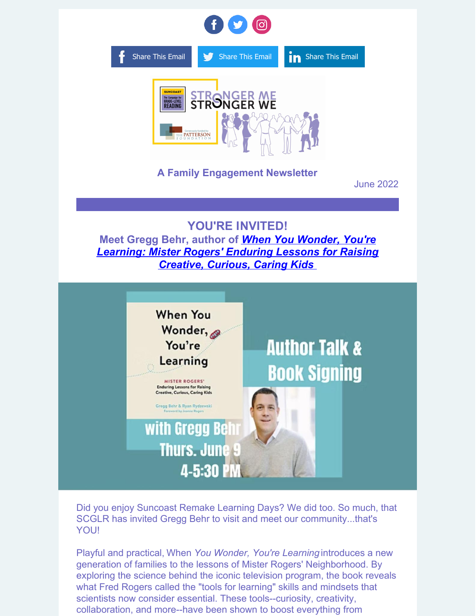

Did you enjoy Suncoast Remake Learning Days? We did too. So much, that SCGLR has invited Gregg Behr to visit and meet our community...that's YOU!

Playful and practical, When *You Wonder, You're Learning* introduces a new generation of families to the lessons of Mister Rogers' Neighborhood. By exploring the science behind the iconic television program, the book reveals what Fred Rogers called the "tools for learning" skills and mindsets that scientists now consider essential. These tools--curiosity, creativity, collaboration, and more--have been shown to boost everything from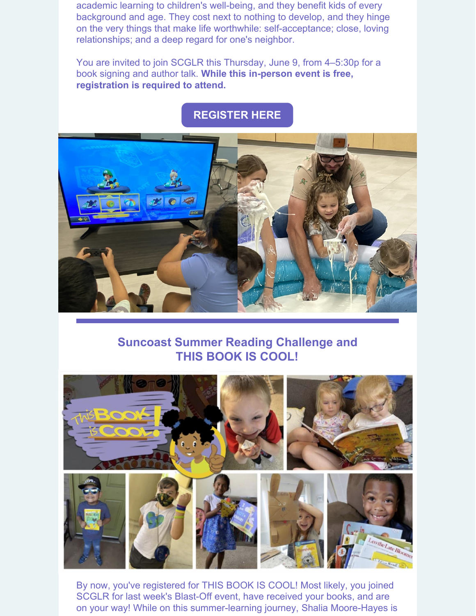academic learning to children's well-being, and they benefit kids of every background and age. They cost next to nothing to develop, and they hinge on the very things that make life worthwhile: self-acceptance; close, loving relationships; and a deep regard for one's neighbor.

You are invited to join SCGLR this Thursday, June 9, from 4–5:30p for a book signing and author talk. **While this in-person event is free, registration is required to attend.**

## **[REGISTER](https://www.eventbrite.com/e/gregg-behr-when-you-wonder-youre-learning-book-signing-author-talk-tickets-335585594547) HERE**



## **Suncoast Summer Reading Challenge and THIS BOOK IS COOL!**



By now, you've registered for THIS BOOK IS COOL! Most likely, you joined SCGLR for last week's Blast-Off event, have received your books, and are on your way! While on this summer-learning journey, Shalia Moore-Hayes is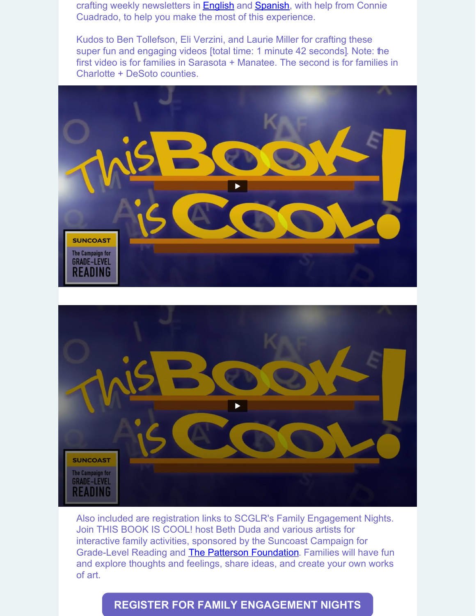crafting weekly newsletters in **[English](https://myemail.constantcontact.com/2022-Suncoast-Summer-Reading-Challenge-and-THIS-BOOK-IS-COOL---Newsletter-.html?soid=1108695245204&aid=QG3WOUSAr1o)** and **[Spanish](https://myemail.constantcontact.com/Desaf-o-de-lectura-de-veranos-de-Suncoast-2022-y--ESTE-LIBRO-ES-GENIAL---Bolet-n-.html?soid=1108695245204&aid=KoZesg4-ttE)**, with help from Connie Cuadrado, to help you make the most of this experience.

Kudos to Ben Tollefson, Eli Verzini, and Laurie Miller for crafting these super fun and engaging videos [total time: 1 minute 42 seconds]. Note: the first video is for families in Sarasota + Manatee. The second is for families in Charlotte + DeSoto counties.





Also included are registration links to SCGLR's Family Engagement Nights. Join THIS BOOK IS COOL! host Beth Duda and various artists for interactive family activities, sponsored by the Suncoast Campaign for Grade-Level Reading and The Patterson [Foundation](https://www.thepattersonfoundation.org/). Families will have fun and explore thoughts and feelings, share ideas, and create your own works of art.

## **REGISTER FOR FAMILY [ENGAGEMENT](https://www.gradelevelreadingsuncoast.net/family-engagement-events/) NIGHTS**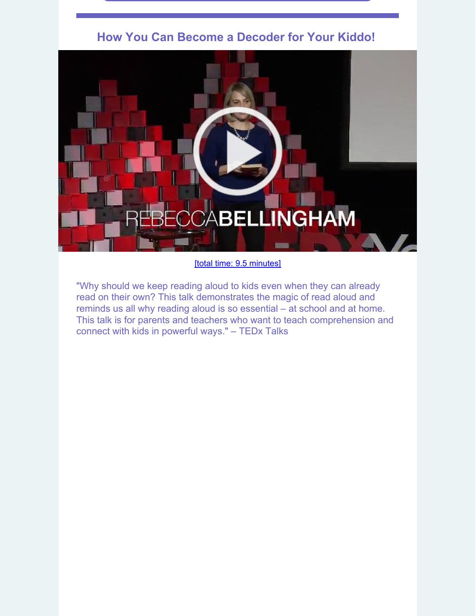



[total time: 9.5 [minutes\]](https://youtu.be/ZBuT2wdYtpM)

"Why should we keep reading aloud to kids even when they can already read on their own? This talk demonstrates the magic of read aloud and reminds us all why reading aloud is so essential – at school and at home. This talk is for parents and teachers who want to teach comprehension and connect with kids in powerful ways." – TEDx Talks